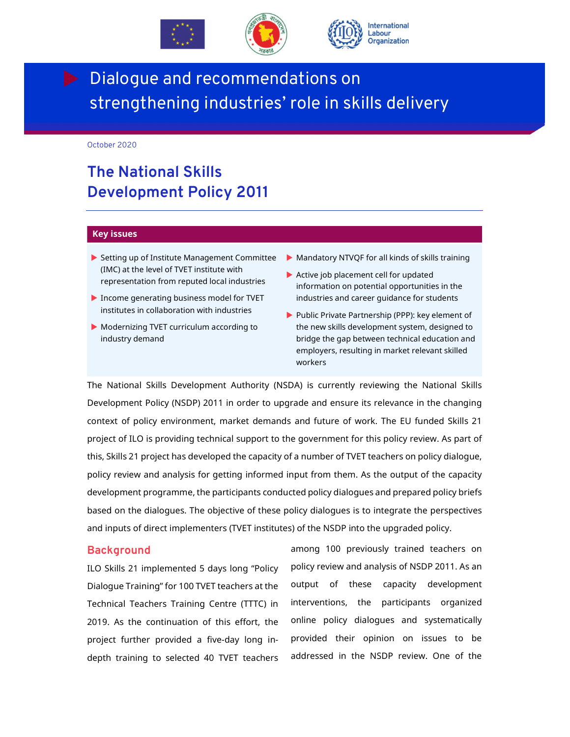



# Dialogue and recommendations on strengthening industries' role in skills delivery

October 2020

Development

## **The National Skills Development Policy 2011**

#### **Key issues**

- Setting up of Institute Management Committee (IMC) at the level of TVET institute with representation from reputed local industries
- $\blacktriangleright$  Income generating business model for TVET institutes in collaboration with industries
- Modernizing TVET curriculum according to industry demand
- Mandatory NTVQF for all kinds of skills training
- Active job placement cell for updated information on potential opportunities in the industries and career guidance for students
- Public Private Partnership (PPP): key element of the new skills development system, designed to bridge the gap between technical education and employers, resulting in market relevant skilled workers

The National Skills Development Authority (NSDA) is currently reviewing the National Skills Development Policy (NSDP) 2011 in order to upgrade and ensure its relevance in the changing context of policy environment, market demands and future of work. The EU funded Skills 21 project of ILO is providing technical support to the government for this policy review. As part of this, Skills 21 project has developed the capacity of a number of TVET teachers on policy dialogue, policy review and analysis for getting informed input from them. As the output of the capacity development programme, the participants conducted policy dialogues and prepared policy briefs based on the dialogues. The objective of these policy dialogues is to integrate the perspectives and inputs of direct implementers (TVET institutes) of the NSDP into the upgraded policy.

#### **Background**

ILO Skills 21 implemented 5 days long "Policy Dialogue Training" for 100 TVET teachers at the Technical Teachers Training Centre (TTTC) in 2019. As the continuation of this effort, the project further provided a five-day long indepth training to selected 40 TVET teachers

among 100 previously trained teachers on policy review and analysis of NSDP 2011. As an output of these capacity development interventions, the participants organized online policy dialogues and systematically provided their opinion on issues to be addressed in the NSDP review. One of the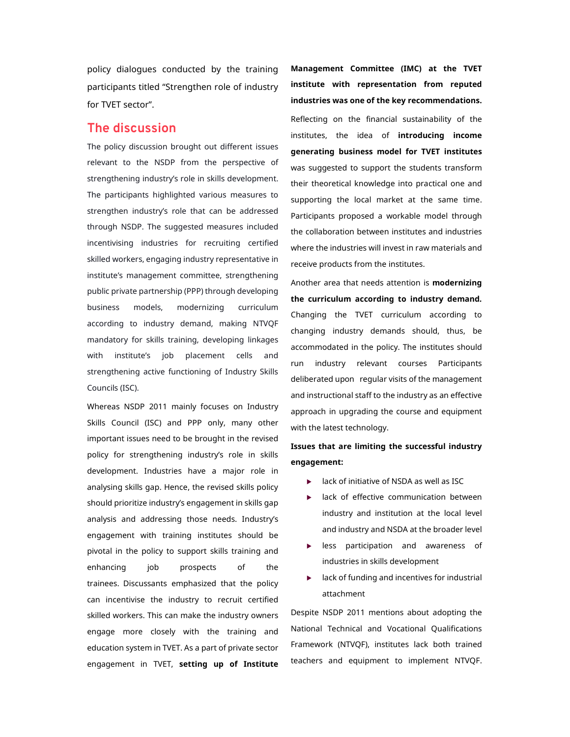policy dialogues conducted by the training participants titled "Strengthen role of industry for TVET sector".

### **The discussion**

The policy discussion brought out different issues relevant to the NSDP from the perspective of strengthening industry's role in skills development. The participants highlighted various measures to strengthen industry's role that can be addressed through NSDP. The suggested measures included incentivising industries for recruiting certified skilled workers, engaging industry representative in institute's management committee, strengthening public private partnership (PPP) through developing business models, modernizing curriculum according to industry demand, making NTVQF mandatory for skills training, developing linkages with institute's job placement cells and strengthening active functioning of Industry Skills Councils (ISC).

Whereas NSDP 2011 mainly focuses on Industry Skills Council (ISC) and PPP only, many other important issues need to be brought in the revised policy for strengthening industry's role in skills development. Industries have a major role in analysing skills gap. Hence, the revised skills policy should prioritize industry's engagement in skills gap analysis and addressing those needs. Industry's engagement with training institutes should be pivotal in the policy to support skills training and enhancing job prospects of the trainees. Discussants emphasized that the policy can incentivise the industry to recruit certified skilled workers. This can make the industry owners engage more closely with the training and education system in TVET. As a part of private sector engagement in TVET, **setting up of Institute** 

**Management Committee (IMC) at the TVET institute with representation from reputed industries was one of the key recommendations.**  Reflecting on the financial sustainability of the institutes, the idea of **introducing income generating business model for TVET institutes** was suggested to support the students transform their theoretical knowledge into practical one and supporting the local market at the same time. Participants proposed a workable model through the collaboration between institutes and industries where the industries will invest in raw materials and receive products from the institutes.

Another area that needs attention is **modernizing the curriculum according to industry demand***.*  Changing the TVET curriculum according to changing industry demands should, thus, be accommodated in the policy. The institutes should run industry relevant courses Participants deliberated upon regular visits of the management and instructional staff to the industry as an effective approach in upgrading the course and equipment with the latest technology.

### **Issues that are limiting the successful industry engagement:**

- lack of initiative of NSDA as well as ISC
- **a** lack of effective communication between industry and institution at the local level and industry and NSDA at the broader level
- **EX EX SE PARTICIPATION CONTROLLER** PARTICIPATION AWARENESS of industries in skills development
- lack of funding and incentives for industrial attachment

Despite NSDP 2011 mentions about adopting the National Technical and Vocational Qualifications Framework (NTVQF), institutes lack both trained teachers and equipment to implement NTVQF.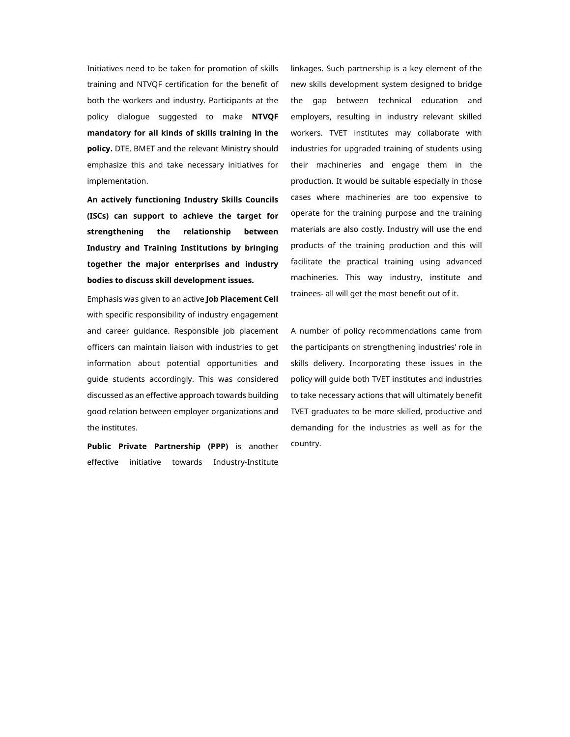Initiatives need to be taken for promotion of skills training and NTVQF certification for the benefit of both the workers and industry. Participants at the policy dialogue suggested to make **NTVQF mandatory for all kinds of skills training in the policy.** DTE, BMET and the relevant Ministry should emphasize this and take necessary initiatives for implementation.

**An actively functioning Industry Skills Councils (ISCs) can support to achieve the target for strengthening the relationship between Industry and Training Institutions by bringing together the major enterprises and industry bodies to discuss skill development issues.** 

Emphasis was given to an active **Job Placement Cell** with specific responsibility of industry engagement and career guidance. Responsible job placement officers can maintain liaison with industries to get information about potential opportunities and guide students accordingly. This was considered discussed as an effective approach towards building good relation between employer organizations and the institutes.

**Public Private Partnership (PPP)** is another effective initiative towards Industry-Institute linkages. Such partnership is a key element of the new skills development system designed to bridge the gap between technical education and employers, resulting in industry relevant skilled workers. TVET institutes may collaborate with industries for upgraded training of students using their machineries and engage them in the production. It would be suitable especially in those cases where machineries are too expensive to operate for the training purpose and the training materials are also costly. Industry will use the end products of the training production and this will facilitate the practical training using advanced machineries. This way industry, institute and trainees- all will get the most benefit out of it.

A number of policy recommendations came from the participants on strengthening industries' role in skills delivery. Incorporating these issues in the policy will guide both TVET institutes and industries to take necessary actions that will ultimately benefit TVET graduates to be more skilled, productive and demanding for the industries as well as for the country.